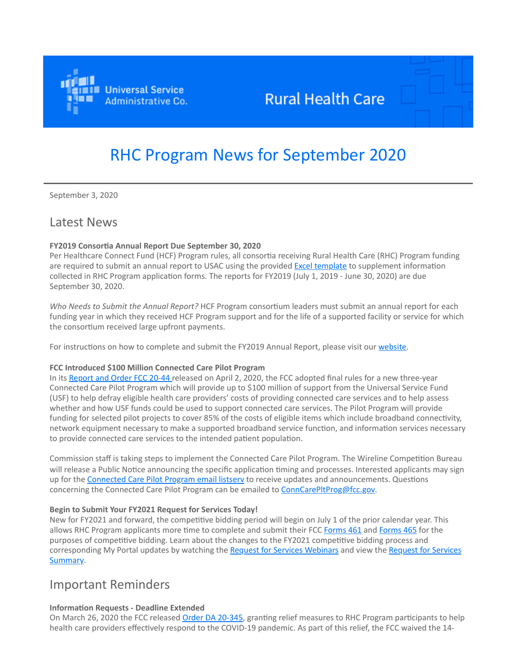

# **Rural Health Care**

# RHC Program News for September 2020

September 3, 2020

# Latest News

### **FY2019 Consortia Annual Report Due September 30, 2020**

Per Healthcare Connect Fund (HCF) Program rules, all consortia receiving Rural Health Care (RHC) Program funding are required to submit an annual report to USAC using the provided [Excel template](https://click.outreach.usac.org/?qs=d4a862515d7bd1c2f5dc012296a8b160ccf9b23ee97d7bd857388e80d10b22770dcd290435b0258b7e6738a9a3fd8108) to supplement information collected in RHC Program application forms. The reports for FY2019 (July 1, 2019 - June 30, 2020) are due September 30, 2020.

*Who Needs to Submit the Annual Report?* HCF Program consortium leaders must submit an annual report for each funding year in which they received HCF Program support and for the life of a supported facility or service for which the consortium received large upfront payments.

For instructions on how to complete and submit the FY2019 Annual Report, please visit our [website.](https://click.outreach.usac.org/?qs=20faf926fe9ef6853010ab4c43c451cbf3d3e557c7154510409829ff83ddcbbd401f02fee9c9ef88937a7595c2a1af9c)

### **FCC Introduced \$100 Million Connected Care Pilot Program**

In its [Report and Order FCC 20-44](https://click.outreach.usac.org/?qs=f493ab4077da1dc268f1a06f702a4ee1fafa9d4a4f3a5c91a7a342a7b2963c21b1234433e90a66f50d2b52e1a0251580) released on April 2, 2020, the FCC adopted final rules for a new three-year Connected Care Pilot Program which will provide up to \$100 million of support from the Universal Service Fund (USF) to help defray eligible health care providers' costs of providing connected care services and to help assess whether and how USF funds could be used to support connected care services. The Pilot Program will provide funding for selected pilot projects to cover 85% of the costs of eligible items which include broadband connectivity, network equipment necessary to make a supported broadband service function, and information services necessary to provide connected care services to the intended patient population.

Commission staff is taking steps to implement the Connected Care Pilot Program. The Wireline Competition Bureau will release a Public Notice announcing the specific application timing and processes. Interested applicants may sign up for the Connected Care Pilot Program email listsery to receive updates and announcements. Questions concerning the Connected Care Pilot Program can be emailed to [ConnCarePltProg@fcc.gov](mailto:ConnCarePltProg@fcc.gov?subject=).

### **Begin to Submit Your FY2021 Request for Services Today!**

New for FY2021 and forward, the competitive bidding period will begin on July 1 of the prior calendar year. This allows RHC Program applicants more time to complete and submit their FCC [Forms 461](https://click.outreach.usac.org/?qs=cc3489fafc63bf203bca38a31f8c392813bcbdf067a3257f17165ca1bb9bdd9e6146ceb6af95b2c3a440fc8b838b7a17) and [Forms 465](https://click.outreach.usac.org/?qs=dd49a03f3f7f192427142be6e5dfa4139ccf7c5e75f9d68adc5cde9884a3b072b1ff6b22a8afc9183b9f7815ae498c78) for the purposes of competitive bidding. Learn about the changes to the FY2021 competitive bidding process and [corresponding My Portal updates by watching the R](https://click.outreach.usac.org/?qs=d0c66a443c64c9fcd05cc8a99dd27f27b4954c99fc249e54cb10036e46d4e34101df2a19dd0393e8d3dba0ad5654590d)[equest for Services Webinars](https://click.outreach.usac.org/?qs=78546b4cf7366478ed6e9e0d866f4f670c947773d8a1b938c6d26ec147a71f2b1fe65d6e0c8ab71016bf0f3638cf6530) and view the Request for Services Summary.

# Important Reminders

## **Information Requests - Deadline Extended**

On March 26, 2020 the FCC released [Order DA 20-345](https://click.outreach.usac.org/?qs=1750b4f9da6c381e31eec7b95418049985919e4a981304bda9ab396b934571accb981990664b15d80ccc8f11637af6d9), granting relief measures to RHC Program participants to help health care providers effectively respond to the COVID-19 pandemic. As part of this relief, the FCC waived the 14